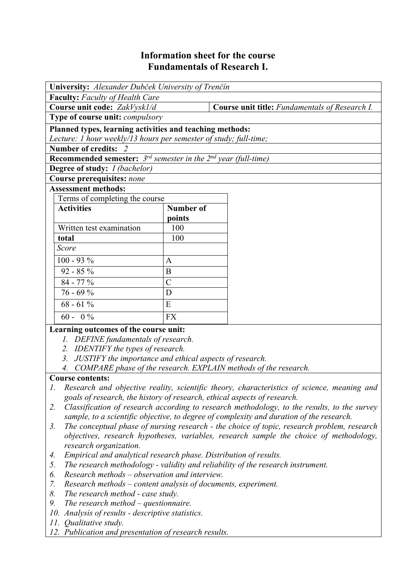# **Information sheet for the course Fundamentals of Research I.**

| University: Alexander Dubček University of Trenčín                              |                |                                                |  |  |
|---------------------------------------------------------------------------------|----------------|------------------------------------------------|--|--|
| <b>Faculty:</b> Faculty of Health Care                                          |                |                                                |  |  |
| Course unit code: ZakVysk1/d                                                    |                | Course unit title: Fundamentals of Research I. |  |  |
| Type of course unit: <i>compulsory</i>                                          |                |                                                |  |  |
| Planned types, learning activities and teaching methods:                        |                |                                                |  |  |
| Lecture: 1 hour weekly/13 hours per semester of study; full-time;               |                |                                                |  |  |
| Number of credits: 2                                                            |                |                                                |  |  |
| <b>Recommended semester:</b> $3^{rd}$ semester in the $2^{nd}$ year (full-time) |                |                                                |  |  |
| <b>Degree of study:</b> <i>I (bachelor)</i>                                     |                |                                                |  |  |
| Course prerequisites: none                                                      |                |                                                |  |  |
| <b>Assessment methods:</b>                                                      |                |                                                |  |  |
| Terms of completing the course                                                  |                |                                                |  |  |
| <b>Activities</b>                                                               | Number of      |                                                |  |  |
|                                                                                 | points         |                                                |  |  |
| Written test examination                                                        | 100            |                                                |  |  |
| total                                                                           | 100            |                                                |  |  |
| Score                                                                           |                |                                                |  |  |
| $100 - 93 %$                                                                    | $\mathbf{A}$   |                                                |  |  |
| $92 - 85 \%$                                                                    | B              |                                                |  |  |
| $84 - 77\%$                                                                     | $\overline{C}$ |                                                |  |  |
| $76 - 69%$                                                                      | D              |                                                |  |  |
| $68 - 61\%$                                                                     | E              |                                                |  |  |
| $60 - 0\%$                                                                      | <b>FX</b>      |                                                |  |  |
| Learning outcomes of the course unit:                                           |                |                                                |  |  |

- *1. DEFINE fundamentals of research.*
- *2. IDENTIFY the types of research.*
- *3. JUSTIFY the importance and ethical aspects of research.*
- *4. COMPARE phase of the research. EXPLAIN methods of the research.*

## **Course contents:**

- *1. Research and objective reality, scientific theory, characteristics of science, meaning and goals of research, the history of research, ethical aspects of research.*
- *2. Classification of research according to research methodology, to the results, to the survey sample, to a scientific objective, to degree of complexity and duration of the research.*
- *3. The conceptual phase of nursing research the choice of topic, research problem, research objectives, research hypotheses, variables, research sample the choice of methodology, research organization.*
- *4. Empirical and analytical research phase. Distribution of results.*
- *5. The research methodology validity and reliability of the research instrument.*
- *6. Research methods observation and interview.*
- *7. Research methods content analysis of documents, experiment.*
- *8. The research method case study.*
- *9. The research method questionnaire.*
- *10. Analysis of results descriptive statistics.*
- *11. Qualitative study.*
- *12. Publication and presentation of research results.*